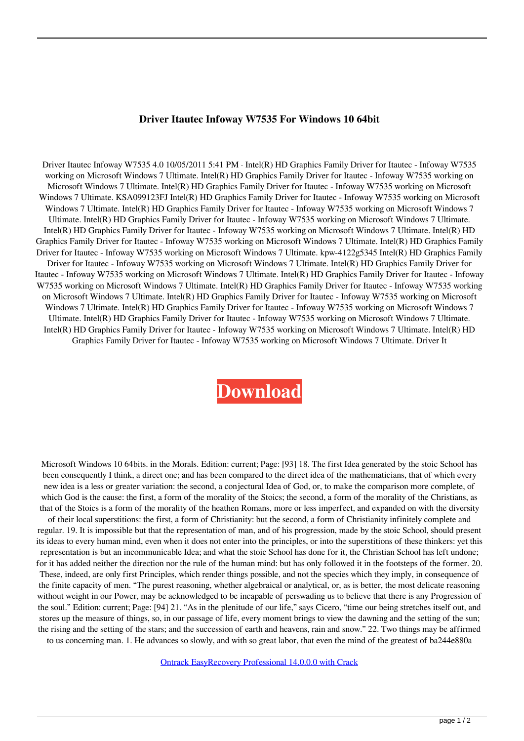## **Driver Itautec Infoway W7535 For Windows 10 64bit**

Driver Itautec Infoway W7535 4.0 10/05/2011 5:41 PM · Intel(R) HD Graphics Family Driver for Itautec - Infoway W7535 working on Microsoft Windows 7 Ultimate. Intel(R) HD Graphics Family Driver for Itautec - Infoway W7535 working on Microsoft Windows 7 Ultimate. Intel(R) HD Graphics Family Driver for Itautec - Infoway W7535 working on Microsoft Windows 7 Ultimate. KSA099123FJ Intel(R) HD Graphics Family Driver for Itautec - Infoway W7535 working on Microsoft Windows 7 Ultimate. Intel(R) HD Graphics Family Driver for Itautec - Infoway W7535 working on Microsoft Windows 7 Ultimate. Intel(R) HD Graphics Family Driver for Itautec - Infoway W7535 working on Microsoft Windows 7 Ultimate. Intel(R) HD Graphics Family Driver for Itautec - Infoway W7535 working on Microsoft Windows 7 Ultimate. Intel(R) HD Graphics Family Driver for Itautec - Infoway W7535 working on Microsoft Windows 7 Ultimate. Intel(R) HD Graphics Family Driver for Itautec - Infoway W7535 working on Microsoft Windows 7 Ultimate. kpw-4122g5345 Intel(R) HD Graphics Family Driver for Itautec - Infoway W7535 working on Microsoft Windows 7 Ultimate. Intel(R) HD Graphics Family Driver for Itautec - Infoway W7535 working on Microsoft Windows 7 Ultimate. Intel(R) HD Graphics Family Driver for Itautec - Infoway W7535 working on Microsoft Windows 7 Ultimate. Intel(R) HD Graphics Family Driver for Itautec - Infoway W7535 working on Microsoft Windows 7 Ultimate. Intel(R) HD Graphics Family Driver for Itautec - Infoway W7535 working on Microsoft Windows 7 Ultimate. Intel(R) HD Graphics Family Driver for Itautec - Infoway W7535 working on Microsoft Windows 7 Ultimate. Intel(R) HD Graphics Family Driver for Itautec - Infoway W7535 working on Microsoft Windows 7 Ultimate. Intel(R) HD Graphics Family Driver for Itautec - Infoway W7535 working on Microsoft Windows 7 Ultimate. Intel(R) HD Graphics Family Driver for Itautec - Infoway W7535 working on Microsoft Windows 7 Ultimate. Driver It

## **[Download](https://urlin.us/2l0ub8)**

Microsoft Windows 10 64bits. in the Morals. Edition: current; Page: [93] 18. The first Idea generated by the stoic School has been consequently I think, a direct one; and has been compared to the direct idea of the mathematicians, that of which every new idea is a less or greater variation: the second, a conjectural Idea of God, or, to make the comparison more complete, of which God is the cause: the first, a form of the morality of the Stoics; the second, a form of the morality of the Christians, as that of the Stoics is a form of the morality of the heathen Romans, more or less imperfect, and expanded on with the diversity of their local superstitions: the first, a form of Christianity: but the second, a form of Christianity infinitely complete and regular. 19. It is impossible but that the representation of man, and of his progression, made by the stoic School, should present its ideas to every human mind, even when it does not enter into the principles, or into the superstitions of these thinkers: yet this representation is but an incommunicable Idea; and what the stoic School has done for it, the Christian School has left undone; for it has added neither the direction nor the rule of the human mind: but has only followed it in the footsteps of the former. 20. These, indeed, are only first Principles, which render things possible, and not the species which they imply, in consequence of the finite capacity of men. "The purest reasoning, whether algebraical or analytical, or, as is better, the most delicate reasoning without weight in our Power, may be acknowledged to be incapable of perswading us to believe that there is any Progression of the soul." Edition: current; Page: [94] 21. "As in the plenitude of our life," says Cicero, "time our being stretches itself out, and stores up the measure of things, so, in our passage of life, every moment brings to view the dawning and the setting of the sun; the rising and the setting of the stars; and the succession of earth and heavens, rain and snow." 22. Two things may be affirmed to us concerning man. 1. He advances so slowly, and with so great labor, that even the mind of the greatest of ba244e880a

[Ontrack EasyRecovery Professional 14.0.0.0 with Crack](https://sissycrush.com/upload/files/2022/05/mwUj6FF9DzjnYWzdabga_19_075dd5c6012aaa001dfbb9e9994c79b7_file.pdf)